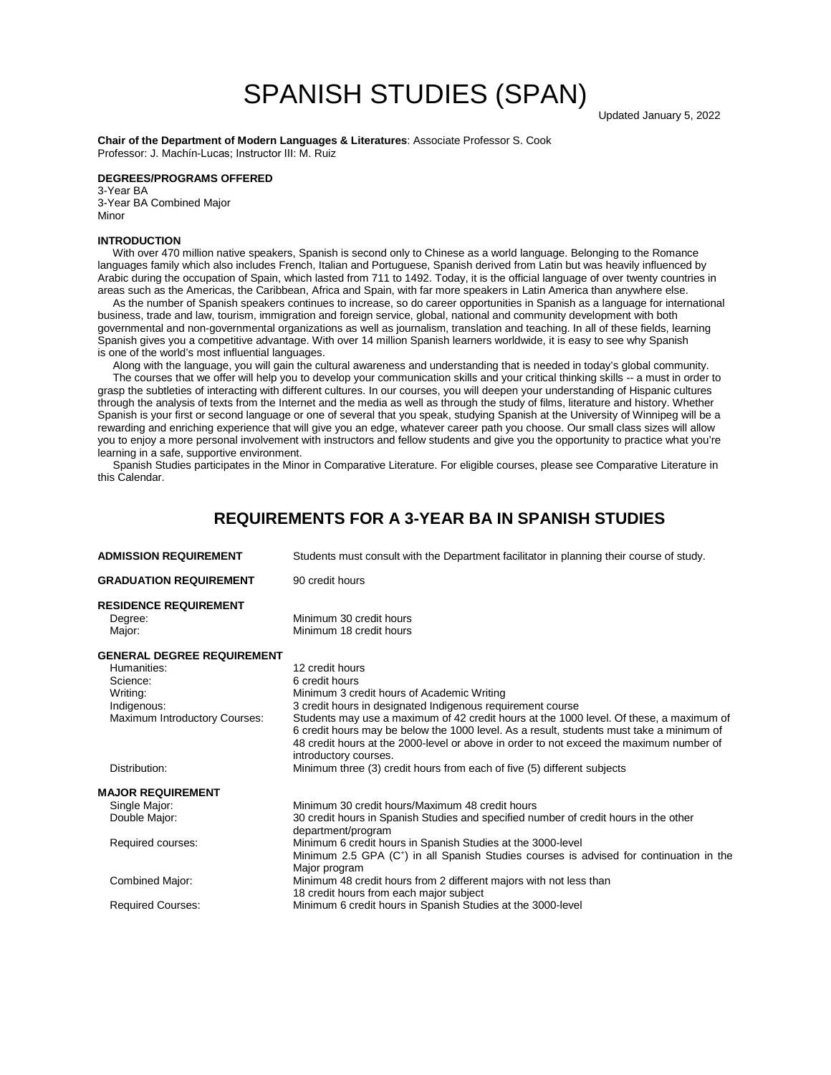# SPANISH STUDIES (SPAN)

**Chair of the Department of Modern Languages & Literatures**: Associate Professor S. Cook Professor: J. Machín-Lucas; Instructor ΙII: M. Ruiz

#### **DEGREES/PROGRAMS OFFERED**

3-Year BA 3-Year BA Combined Major Minor

#### **INTRODUCTION**

 With over 470 million native speakers, Spanish is second only to Chinese as a world language. Belonging to the Romance languages family which also includes French, Italian and Portuguese, Spanish derived from Latin but was heavily influenced by Arabic during the occupation of Spain, which lasted from 711 to 1492. Today, it is the official language of over twenty countries in areas such as the Americas, the Caribbean, Africa and Spain, with far more speakers in Latin America than anywhere else.

 As the number of Spanish speakers continues to increase, so do career opportunities in Spanish as a language for international business, trade and law, tourism, immigration and foreign service, global, national and community development with both governmental and non-governmental organizations as well as journalism, translation and teaching. In all of these fields, learning Spanish gives you a competitive advantage. With over 14 million Spanish learners worldwide, it is easy to see why Spanish is one of the world's most influential languages.

 Along with the language, you will gain the cultural awareness and understanding that is needed in today's global community. The courses that we offer will help you to develop your communication skills and your critical thinking skills -- a must in order to grasp the subtleties of interacting with different cultures. In our courses, you will deepen your understanding of Hispanic cultures through the analysis of texts from the Internet and the media as well as through the study of films, literature and history. Whether Spanish is your first or second language or one of several that you speak, studying Spanish at the University of Winnipeg will be a rewarding and enriching experience that will give you an edge, whatever career path you choose. Our small class sizes will allow you to enjoy a more personal involvement with instructors and fellow students and give you the opportunity to practice what you're learning in a safe, supportive environment.

 Spanish Studies participates in the Minor in Comparative Literature. For eligible courses, please see Comparative Literature in this Calendar.

## **REQUIREMENTS FOR A 3-YEAR BA IN SPANISH STUDIES**

| <b>ADMISSION REQUIREMENT</b>            | Students must consult with the Department facilitator in planning their course of study.                                                                                                                                                                                                                |  |  |
|-----------------------------------------|---------------------------------------------------------------------------------------------------------------------------------------------------------------------------------------------------------------------------------------------------------------------------------------------------------|--|--|
| <b>GRADUATION REQUIREMENT</b>           | 90 credit hours                                                                                                                                                                                                                                                                                         |  |  |
| <b>RESIDENCE REQUIREMENT</b><br>Degree: | Minimum 30 credit hours                                                                                                                                                                                                                                                                                 |  |  |
| Major:                                  | Minimum 18 credit hours                                                                                                                                                                                                                                                                                 |  |  |
| <b>GENERAL DEGREE REQUIREMENT</b>       |                                                                                                                                                                                                                                                                                                         |  |  |
| Humanities:                             | 12 credit hours                                                                                                                                                                                                                                                                                         |  |  |
| Science:                                | 6 credit hours                                                                                                                                                                                                                                                                                          |  |  |
| Writing:                                | Minimum 3 credit hours of Academic Writing                                                                                                                                                                                                                                                              |  |  |
| Indigenous:                             | 3 credit hours in designated Indigenous requirement course                                                                                                                                                                                                                                              |  |  |
| Maximum Introductory Courses:           | Students may use a maximum of 42 credit hours at the 1000 level. Of these, a maximum of<br>6 credit hours may be below the 1000 level. As a result, students must take a minimum of<br>48 credit hours at the 2000-level or above in order to not exceed the maximum number of<br>introductory courses. |  |  |
| Distribution:                           | Minimum three (3) credit hours from each of five (5) different subjects                                                                                                                                                                                                                                 |  |  |
| <b>MAJOR REQUIREMENT</b>                |                                                                                                                                                                                                                                                                                                         |  |  |
| Single Major:                           | Minimum 30 credit hours/Maximum 48 credit hours                                                                                                                                                                                                                                                         |  |  |
| Double Major:                           | 30 credit hours in Spanish Studies and specified number of credit hours in the other<br>department/program                                                                                                                                                                                              |  |  |
| Required courses:                       | Minimum 6 credit hours in Spanish Studies at the 3000-level<br>Minimum 2.5 GPA $(C^+)$ in all Spanish Studies courses is advised for continuation in the<br>Major program                                                                                                                               |  |  |
| Combined Major:                         | Minimum 48 credit hours from 2 different majors with not less than<br>18 credit hours from each major subject                                                                                                                                                                                           |  |  |
| <b>Required Courses:</b>                | Minimum 6 credit hours in Spanish Studies at the 3000-level                                                                                                                                                                                                                                             |  |  |